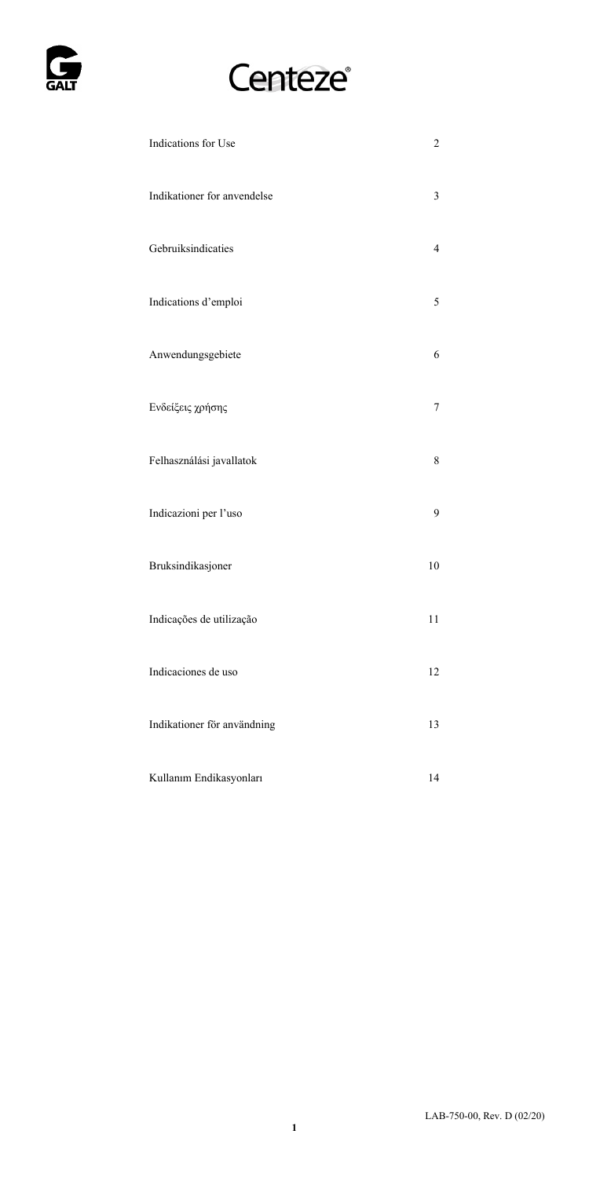

# Centeze®

| Indications for Use         | 2              |
|-----------------------------|----------------|
| Indikationer for anvendelse | 3              |
| Gebruiksindicaties          | $\overline{4}$ |
| Indications d'emploi        | 5              |
| Anwendungsgebiete           | 6              |
| Ενδείξεις χρήσης            | 7              |
| Felhasználási javallatok    | 8              |
| Indicazioni per l'uso       | 9              |
| Bruksindikasjoner           | 10             |
| Indicações de utilização    | 11             |
| Indicaciones de uso         | 12             |
| Indikationer för användning | 13             |
| Kullanım Endikasyonları     | 14             |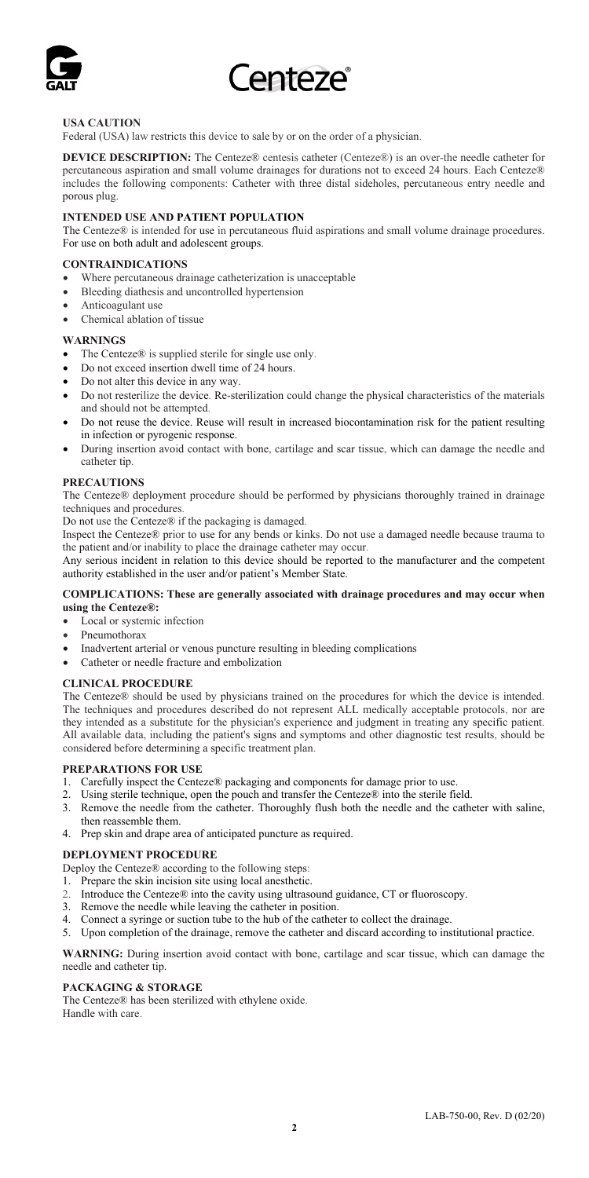

## **USA CAUTION**

Federal (USA) law restricts this device to sale by or on the order of a physician.

**DEVICE DESCRIPTION:** The Centeze® centesis catheter (Centeze®) is an over-the needle catheter for percutaneous aspiration and small volume drainages for durations not to exceed 24 hours. Each Centeze® includes the following components: Catheter with three distal sideholes, percutaneous entry needle and porous plug.

## **INTENDED USE AND PATIENT POPULATION**

The Centeze® is intended for use in percutaneous fluid aspirations and small volume drainage procedures. For use on both adult and adolescent groups.

### **CONTRAINDICATIONS**

- Where percutaneous drainage catheterization is unacceptable
- Bleeding diathesis and uncontrolled hypertension
- Anticoagulant use
- Chemical ablation of tissue

#### **WARNINGS**

- The Centeze® is supplied sterile for single use only.
- Do not exceed insertion dwell time of 24 hours.
- Do not alter this device in any way.
- Do not resterilize the device. Re-sterilization could change the physical characteristics of the materials and should not be attempted.
- Do not reuse the device. Reuse will result in increased biocontamination risk for the patient resulting in infection or pyrogenic response.
- During insertion avoid contact with bone, cartilage and scar tissue, which can damage the needle and catheter tip.

#### **PRECAUTIONS**

The Centeze® deployment procedure should be performed by physicians thoroughly trained in drainage techniques and procedures

Do not use the Centeze® if the packaging is damaged.

Inspect the Centeze® prior to use for any bends or kinks. Do not use a damaged needle because trauma to the patient and/or inability to place the drainage catheter may occur.

Any serious incident in relation to this device should be reported to the manufacturer and the competent authority established in the user and/or patient's Member State.

#### **COMPLICATIONS: These are generally associated with drainage procedures and may occur when using the Centeze®:**

- Local or systemic infection
- Pneumothorax
- Inadvertent arterial or venous puncture resulting in bleeding complications
- Catheter or needle fracture and embolization

#### **CLINICAL PROCEDURE**

The Centeze® should be used by physicians trained on the procedures for which the device is intended. The techniques and procedures described do not represent ALL medically acceptable protocols, nor are they intended as a substitute for the physician's experience and judgment in treating any specific patient. All available data, including the patient's signs and symptoms and other diagnostic test results, should be considered before determining a specific treatment plan.

## **PREPARATIONS FOR USE**

- 1. Carefully inspect the Centeze® packaging and components for damage prior to use.
- 
- 2. Using sterile technique, open the pouch and transfer the Centeze® into the sterile field. 3. Remove the needle from the catheter. Thoroughly flush both the needle and the catheter with saline, then reassemble them.
- 4. Prep skin and drape area of anticipated puncture as required.

#### **DEPLOYMENT PROCEDURE**

Deploy the Centeze® according to the following steps:

- 1. Prepare the skin incision site using local anesthetic.
- 2. Introduce the Centeze® into the cavity using ultrasound guidance, CT or fluoroscopy.
- 3. Remove the needle while leaving the catheter in position.
- 4. Connect a syringe or suction tube to the hub of the catheter to collect the drainage.
- 5. Upon completion of the drainage, remove the catheter and discard according to institutional practice.

**WARNING:** During insertion avoid contact with bone, cartilage and scar tissue, which can damage the needle and catheter tip.

#### **PACKAGING & STORAGE**

The Centeze® has been sterilized with ethylene oxide. Handle with care.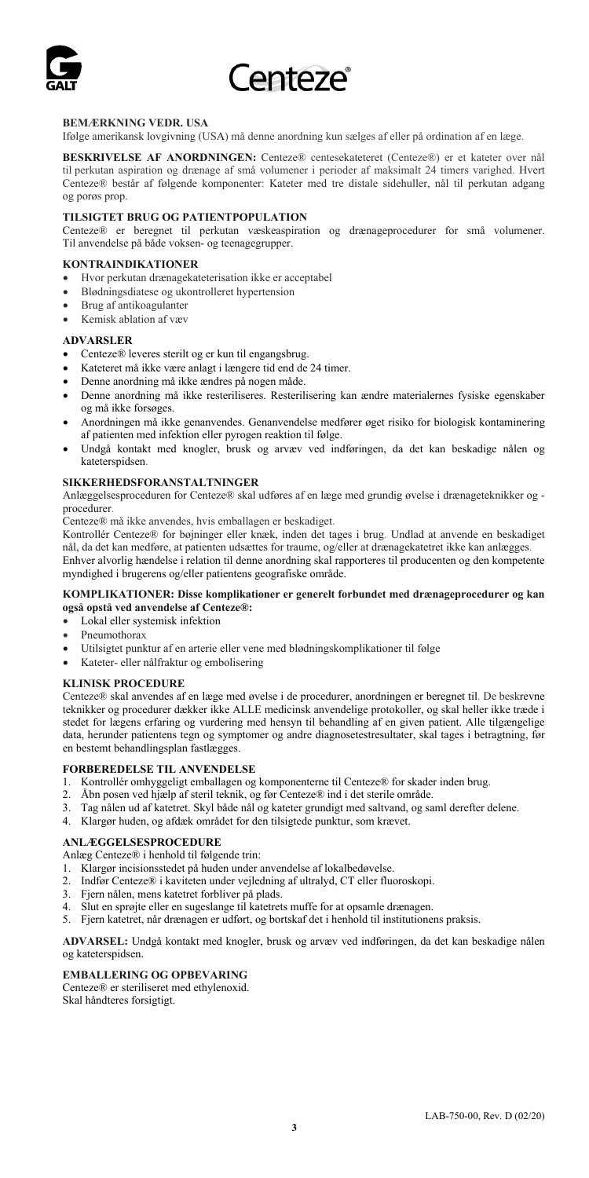

## **BEMÆRKNING VEDR. USA**

Ifølge amerikansk lovgivning (USA) må denne anordning kun sælges af eller på ordination af en læge.

**BESKRIVELSE AF ANORDNINGEN:** Centeze® centesekateteret (Centeze®) er et kateter over nål til perkutan aspiration og drænage af små volumener i perioder af maksimalt 24 timers varighed. Hvert Centeze® består af følgende komponenter: Kateter med tre distale sidehuller, nål til perkutan adgang og porøs prop.

## **TILSIGTET BRUG OG PATIENTPOPULATION**

Centeze® er beregnet til perkutan væskeaspiration og drænageprocedurer for små volumener. Til anvendelse på både voksen- og teenagegrupper.

### **KONTRAINDIKATIONER**

- Hvor perkutan drænagekateterisation ikke er acceptabel
- Blødningsdiatese og ukontrolleret hypertension
- Brug af antikoagulanter
- Kemisk ablation af væv

#### **ADVARSLER**

- Centeze® leveres sterilt og er kun til engangsbrug.
- Kateteret må ikke være anlagt i længere tid end de 24 timer.
- Denne anordning må ikke ændres på nogen måde.
- Denne anordning må ikke resteriliseres. Resterilisering kan ændre materialernes fysiske egenskaber og må ikke forsøges.
- Anordningen må ikke genanvendes. Genanvendelse medfører øget risiko for biologisk kontaminering af patienten med infektion eller pyrogen reaktion til følge.
- Undgå kontakt med knogler, brusk og arvæv ved indføringen, da det kan beskadige nålen og kateterspidsen.

#### **SIKKERHEDSFORANSTALTNINGER**

Anlæggelsesproceduren for Centeze® skal udføres af en læge med grundig øvelse i drænageteknikker og procedurer.

Centeze® må ikke anvendes, hvis emballagen er beskadiget.

Kontrollér Centeze® for bøjninger eller knæk, inden det tages i brug. Undlad at anvende en beskadiget nål, da det kan medføre, at patienten udsættes for traume, og/eller at drænagekatetret ikke kan anlægges. Enhver alvorlig hændelse i relation til denne anordning skal rapporteres til producenten og den kompetente

myndighed i brugerens og/eller patientens geografiske område.

#### **KOMPLIKATIONER: Disse komplikationer er generelt forbundet med drænageprocedurer og kan også opstå ved anvendelse af Centeze®:**

- Lokal eller systemisk infektion
- Pneumothorax
- Utilsigtet punktur af en arterie eller vene med blødningskomplikationer til følge
- Kateter- eller nålfraktur og embolisering

#### **KLINISK PROCEDURE**

Centeze® skal anvendes af en læge med øvelse i de procedurer, anordningen er beregnet til. De beskrevne teknikker og procedurer dækker ikke ALLE medicinsk anvendelige protokoller, og skal heller ikke træde i stedet for lægens erfaring og vurdering med hensyn til behandling af en given patient. Alle tilgængelige data, herunder patientens tegn og symptomer og andre diagnosetestresultater, skal tages i betragtning, før en bestemt behandlingsplan fastlægges.

#### **FORBEREDELSE TIL ANVENDELSE**

- 1. Kontrollér omhyggeligt emballagen og komponenterne til Centeze® for skader inden brug.
- 
- 2. Åbn posen ved hjælp af steril teknik, og før Centeze® ind i det sterile område. 3. Tag nålen ud af katetret. Skyl både nål og kateter grundigt med saltvand, og saml derefter delene.
- 4. Klargør huden, og afdæk området for den tilsigtede punktur, som krævet.

### **ANLÆGGELSESPROCEDURE**

Anlæg Centeze® i henhold til følgende trin:

- 1. Klargør incisionsstedet på huden under anvendelse af lokalbedøvelse.
- 2. Indfør Centeze® i kaviteten under vejledning af ultralyd, CT eller fluoroskopi. 3. Fjern nålen, mens katetret forbliver på plads.
- 
- 4. Slut en sprøjte eller en sugeslange til katetrets muffe for at opsamle drænagen.
- 5. Fjern katetret, når drænagen er udført, og bortskaf det i henhold til institutionens praksis.

**ADVARSEL:** Undgå kontakt med knogler, brusk og arvæv ved indføringen, da det kan beskadige nålen og kateterspidsen.

## **EMBALLERING OG OPBEVARING**

Centeze® er steriliseret med ethylenoxid. Skal håndteres forsigtigt.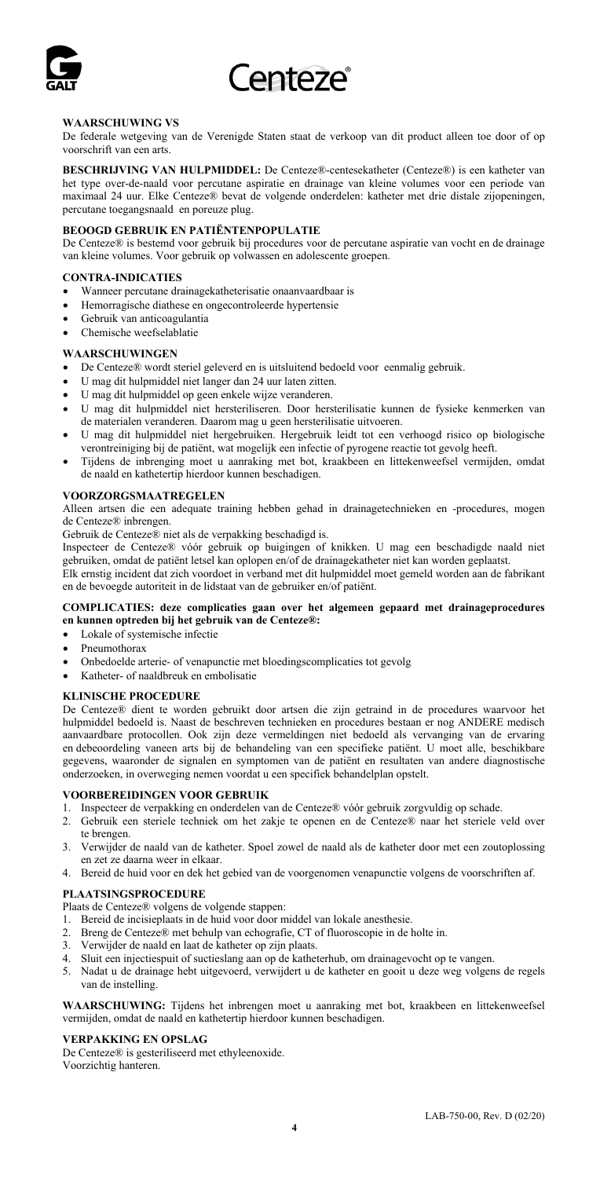

#### **WAARSCHUWING VS**

De federale wetgeving van de Verenigde Staten staat de verkoop van dit product alleen toe door of op voorschrift van een arts.

**BESCHRIJVING VAN HULPMIDDEL:** De Centeze®-centesekatheter (Centeze®) is een katheter van het type over-de-naald voor percutane aspiratie en drainage van kleine volumes voor een periode van maximaal 24 uur. Elke Centeze® bevat de volgende onderdelen: katheter met drie distale zijopeningen, percutane toegangsnaald en poreuze plug.

#### **BEOOGD GEBRUIK EN PATIËNTENPOPULATIE**

De Centeze® is bestemd voor gebruik bij procedures voor de percutane aspiratie van vocht en de drainage van kleine volumes. Voor gebruik op volwassen en adolescente groepen.

#### **CONTRA-INDICATIES**

- Wanneer percutane drainagekatheterisatie onaanvaardbaar is
- Hemorragische diathese en ongecontroleerde hypertensie
- Gebruik van anticoagulantia
- Chemische weefselablatie

#### **WAARSCHUWINGEN**

- De Centeze® wordt steriel geleverd en is uitsluitend bedoeld voor eenmalig gebruik.
- U mag dit hulpmiddel niet langer dan 24 uur laten zitten.
- U mag dit hulpmiddel op geen enkele wijze veranderen.
- U mag dit hulpmiddel niet hersteriliseren. Door hersterilisatie kunnen de fysieke kenmerken van de materialen veranderen. Daarom mag u geen hersterilisatie uitvoeren.
- U mag dit hulpmiddel niet hergebruiken. Hergebruik leidt tot een verhoogd risico op biologische verontreiniging bij de patiënt, wat mogelijk een infectie of pyrogene reactie tot gevolg heeft.
- Tijdens de inbrenging moet u aanraking met bot, kraakbeen en littekenweefsel vermijden, omdat de naald en kathetertip hierdoor kunnen beschadigen.

#### **VOORZORGSMAATREGELEN**

Alleen artsen die een adequate training hebben gehad in drainagetechnieken en -procedures, mogen de Centeze® inbrengen.

Gebruik de Centeze® niet als de verpakking beschadigd is.

Inspecteer de Centeze® vóór gebruik op buigingen of knikken. U mag een beschadigde naald niet gebruiken, omdat de patiënt letsel kan oplopen en/of de drainagekatheter niet kan worden geplaatst. Elk ernstig incident dat zich voordoet in verband met dit hulpmiddel moet gemeld worden aan de fabrikant

en de bevoegde autoriteit in de lidstaat van de gebruiker en/of patiënt.

#### **COMPLICATIES: deze complicaties gaan over het algemeen gepaard met drainageprocedures en kunnen optreden bij het gebruik van de Centeze®:**

- Lokale of systemische infectie
- Pneumothorax
- Onbedoelde arterie- of venapunctie met bloedingscomplicaties tot gevolg
- Katheter- of naaldbreuk en embolisatie

#### **KLINISCHE PROCEDURE**

De Centeze® dient te worden gebruikt door artsen die zijn getraind in de procedures waarvoor het hulpmiddel bedoeld is. Naast de beschreven technieken en procedures bestaan er nog ANDERE medisch aanvaardbare protocollen. Ook zijn deze vermeldingen niet bedoeld als vervanging van de ervaring en debeoordeling vaneen arts bij de behandeling van een specifieke patiënt. U moet alle, beschikbare gegevens, waaronder de signalen en symptomen van de patiënt en resultaten van andere diagnostische onderzoeken, in overweging nemen voordat u een specifiek behandelplan opstelt.

#### **VOORBEREIDINGEN VOOR GEBRUIK**

- 1. Inspecteer de verpakking en onderdelen van de Centeze® vóór gebruik zorgvuldig op schade.
- 2. Gebruik een steriele techniek om het zakje te openen en de Centeze® naar het steriele veld over te brengen.
- 3. Verwijder de naald van de katheter. Spoel zowel de naald als de katheter door met een zoutoplossing en zet ze daarna weer in elkaar.
- 4. Bereid de huid voor en dek het gebied van de voorgenomen venapunctie volgens de voorschriften af.

#### **PLAATSINGSPROCEDURE**

Plaats de Centeze® volgens de volgende stappen:

- 1. Bereid de incisieplaats in de huid voor door middel van lokale anesthesie.
- 2. Breng de Centeze® met behulp van echografie, CT of fluoroscopie in de holte in.
- 
- 3. Verwijder de naald en laat de katheter op zijn plaats. 4. Sluit een injectiespuit of suctieslang aan op de katheterhub, om drainagevocht op te vangen.
- 5. Nadat u de drainage hebt uitgevoerd, verwijdert u de katheter en gooit u deze weg volgens de regels van de instelling.

**WAARSCHUWING:** Tijdens het inbrengen moet u aanraking met bot, kraakbeen en littekenweefsel vermijden, omdat de naald en kathetertip hierdoor kunnen beschadigen.

## **VERPAKKING EN OPSLAG**

De Centeze® is gesteriliseerd met ethyleenoxide. Voorzichtig hanteren.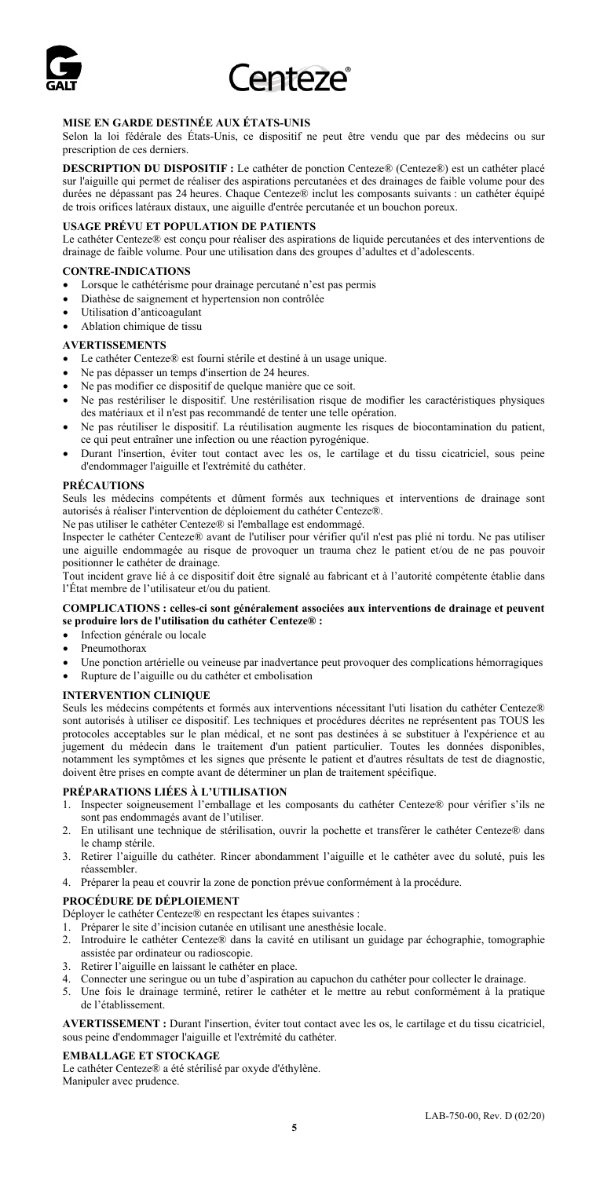

#### **MISE EN GARDE DESTINÉE AUX ÉTATS-UNIS**

Selon la loi fédérale des États-Unis, ce dispositif ne peut être vendu que par des médecins ou sur prescription de ces derniers.

**DESCRIPTION DU DISPOSITIF :** Le cathéter de ponction Centeze® (Centeze®) est un cathéter placé sur l'aiguille qui permet de réaliser des aspirations percutanées et des drainages de faible volume pour des durées ne dépassant pas 24 heures. Chaque Centeze® inclut les composants suivants : un cathéter équipé de trois orifices latéraux distaux, une aiguille d'entrée percutanée et un bouchon poreux.

### **USAGE PRÉVU ET POPULATION DE PATIENTS**

Le cathéter Centeze® est conçu pour réaliser des aspirations de liquide percutanées et des interventions de drainage de faible volume. Pour une utilisation dans des groupes d'adultes et d'adolescents.

## **CONTRE-INDICATIONS**

- Lorsque le cathétérisme pour drainage percutané n'est pas permis
- Diathèse de saignement et hypertension non contrôlée
- Utilisation d'anticoagulant
- Ablation chimique de tissu

#### **AVERTISSEMENTS**

- Le cathéter Centeze® est fourni stérile et destiné à un usage unique.
- Ne pas dépasser un temps d'insertion de 24 heures.
- Ne pas modifier ce dispositif de quelque manière que ce soit.
- Ne pas restériliser le dispositif. Une restérilisation risque de modifier les caractéristiques physiques des matériaux et il n'est pas recommandé de tenter une telle opération.
- Ne pas réutiliser le dispositif. La réutilisation augmente les risques de biocontamination du patient, ce qui peut entraîner une infection ou une réaction pyrogénique.
- Durant l'insertion, éviter tout contact avec les os, le cartilage et du tissu cicatriciel, sous peine d'endommager l'aiguille et l'extrémité du cathéter.

## **PRÉCAUTIONS**

Seuls les médecins compétents et dûment formés aux techniques et interventions de drainage sont autorisés à réaliser l'intervention de déploiement du cathéter Centeze®.

Ne pas utiliser le cathéter Centeze® si l'emballage est endommagé.

Inspecter le cathéter Centeze® avant de l'utiliser pour vérifier qu'il n'est pas plié ni tordu. Ne pas utiliser une aiguille endommagée au risque de provoquer un trauma chez le patient et/ou de ne pas pouvoir positionner le cathéter de drainage.

Tout incident grave lié à ce dispositif doit être signalé au fabricant et à l'autorité compétente établie dans l'État membre de l'utilisateur et/ou du patient.

#### **COMPLICATIONS : celles-ci sont généralement associées aux interventions de drainage et peuvent se produire lors de l'utilisation du cathéter Centeze® :**

- Infection générale ou locale
- Pneumothorax
- Une ponction artérielle ou veineuse par inadvertance peut provoquer des complications hémorragiques
- Rupture de l'aiguille ou du cathéter et embolisation

#### **INTERVENTION CLINIQUE**

Seuls les médecins compétents et formés aux interventions nécessitant l'uti lisation du cathéter Centeze® sont autorisés à utiliser ce dispositif. Les techniques et procédures décrites ne représentent pas TOUS les protocoles acceptables sur le plan médical, et ne sont pas destinées à se substituer à l'expérience et au jugement du médecin dans le traitement d'un patient particulier. Toutes les données disponibles, notamment les symptômes et les signes que présente le patient et d'autres résultats de test de diagnostic, doivent être prises en compte avant de déterminer un plan de traitement spécifique.

#### **PRÉPARATIONS LIÉES À L'UTILISATION**

- 1. Inspecter soigneusement l'emballage et les composants du cathéter Centeze® pour vérifier s'ils ne sont pas endommagés avant de l'utiliser.
- 2. En utilisant une technique de stérilisation, ouvrir la pochette et transférer le cathéter Centeze® dans le champ stérile.
- 3. Retirer l'aiguille du cathéter. Rincer abondamment l'aiguille et le cathéter avec du soluté, puis les réassembler.
- 4. Préparer la peau et couvrir la zone de ponction prévue conformément à la procédure.

#### **PROCÉDURE DE DÉPLOIEMENT**

Déployer le cathéter Centeze® en respectant les étapes suivantes :

- 1. Préparer le site d'incision cutanée en utilisant une anesthésie locale.
- 2. Introduire le cathéter Centeze® dans la cavité en utilisant un guidage par échographie, tomographie assistée par ordinateur ou radioscopie.
- 3. Retirer l'aiguille en laissant le cathéter en place.
- 4. Connecter une seringue ou un tube d'aspiration au capuchon du cathéter pour collecter le drainage.
- 5. Une fois le drainage terminé, retirer le cathéter et le mettre au rebut conformément à la pratique de l'établissement.

**AVERTISSEMENT :** Durant l'insertion, éviter tout contact avec les os, le cartilage et du tissu cicatriciel, sous peine d'endommager l'aiguille et l'extrémité du cathéter.

### **EMBALLAGE ET STOCKAGE**

Le cathéter Centeze® a été stérilisé par oxyde d'éthylène. Manipuler avec prudence.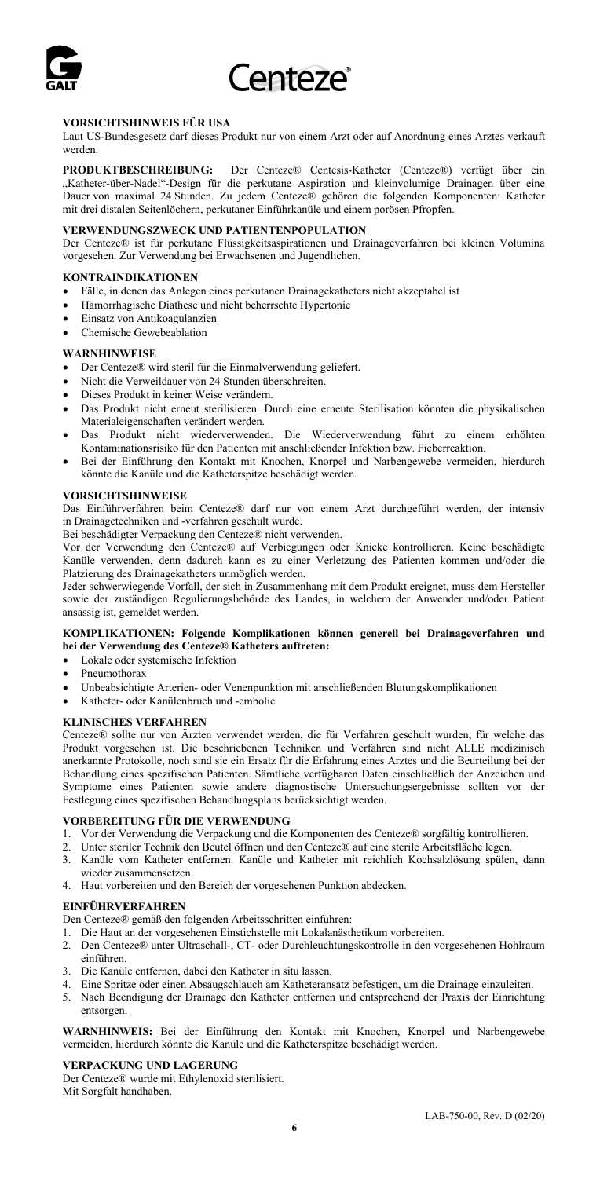

#### **VORSICHTSHINWEIS FÜR USA**

Laut US-Bundesgesetz darf dieses Produkt nur von einem Arzt oder auf Anordnung eines Arztes verkauft werden.

**PRODUKTBESCHREIBUNG:** Der Centeze® Centesis-Katheter (Centeze®) verfügt über ein "Katheter-über-Nadel"-Design für die perkutane Aspiration und kleinvolumige Drainagen über eine Dauer von maximal 24 Stunden. Zu jedem Centeze® gehören die folgenden Komponenten: Katheter mit drei distalen Seitenlöchern, perkutaner Einführkanüle und einem porösen Pfropfen.

#### **VERWENDUNGSZWECK UND PATIENTENPOPULATION**

Der Centeze® ist für perkutane Flüssigkeitsaspirationen und Drainageverfahren bei kleinen Volumina vorgesehen. Zur Verwendung bei Erwachsenen und Jugendlichen.

#### **KONTRAINDIKATIONEN**

- Fälle, in denen das Anlegen eines perkutanen Drainagekatheters nicht akzeptabel ist
- Hämorrhagische Diathese und nicht beherrschte Hypertonie
- Einsatz von Antikoagulanzien
- Chemische Gewebeablation

#### **WARNHINWEISE**

- Der Centeze® wird steril für die Einmalverwendung geliefert.
- Nicht die Verweildauer von 24 Stunden überschreiten.
- Dieses Produkt in keiner Weise verändern.
- Das Produkt nicht erneut sterilisieren. Durch eine erneute Sterilisation könnten die physikalischen Materialeigenschaften verändert werden.
- Das Produkt nicht wiederverwenden. Die Wiederverwendung führt zu einem erhöhten Kontaminationsrisiko für den Patienten mit anschließender Infektion bzw. Fieberreaktion.
- Bei der Einführung den Kontakt mit Knochen, Knorpel und Narbengewebe vermeiden, hierdurch könnte die Kanüle und die Katheterspitze beschädigt werden.

#### **VORSICHTSHINWEISE**

Das Einführverfahren beim Centeze® darf nur von einem Arzt durchgeführt werden, der intensiv in Drainagetechniken und -verfahren geschult wurde.

Bei beschädigter Verpackung den Centeze® nicht verwenden.

Vor der Verwendung den Centeze® auf Verbiegungen oder Knicke kontrollieren. Keine beschädigte Kanüle verwenden, denn dadurch kann es zu einer Verletzung des Patienten kommen und/oder die Platzierung des Drainagekatheters unmöglich werden.

Jeder schwerwiegende Vorfall, der sich in Zusammenhang mit dem Produkt ereignet, muss dem Hersteller sowie der zuständigen Regulierungsbehörde des Landes, in welchem der Anwender und/oder Patient ansässig ist, gemeldet werden.

#### **KOMPLIKATIONEN: Folgende Komplikationen können generell bei Drainageverfahren und bei der Verwendung des Centeze® Katheters auftreten:**

- Lokale oder systemische Infektion
- Pneumothorax
- Unbeabsichtigte Arterien- oder Venenpunktion mit anschließenden Blutungskomplikationen
- Katheter- oder Kanülenbruch und -embolie

#### **KLINISCHES VERFAHREN**

Centeze® sollte nur von Ärzten verwendet werden, die für Verfahren geschult wurden, für welche das Produkt vorgesehen ist. Die beschriebenen Techniken und Verfahren sind nicht ALLE medizinisch anerkannte Protokolle, noch sind sie ein Ersatz für die Erfahrung eines Arztes und die Beurteilung bei der Behandlung eines spezifischen Patienten. Sämtliche verfügbaren Daten einschließlich der Anzeichen und Symptome eines Patienten sowie andere diagnostische Untersuchungsergebnisse sollten vor der Festlegung eines spezifischen Behandlungsplans berücksichtigt werden.

## **VORBEREITUNG FÜR DIE VERWENDUNG**

- 1. Vor der Verwendung die Verpackung und die Komponenten des Centeze® sorgfältig kontrollieren.
- 2. Unter steriler Technik den Beutel öffnen und den Centeze® auf eine sterile Arbeitsfläche legen.
- 3. Kanüle vom Katheter entfernen. Kanüle und Katheter mit reichlich Kochsalzlösung spülen, dann wieder zusammensetzen.
- 4. Haut vorbereiten und den Bereich der vorgesehenen Punktion abdecken.

#### **EINFÜHRVERFAHREN**

Den Centeze® gemäß den folgenden Arbeitsschritten einführen:

- 1. Die Haut an der vorgesehenen Einstichstelle mit Lokalanästhetikum vorbereiten.
- 2. Den Centeze® unter Ultraschall-, CT- oder Durchleuchtungskontrolle in den vorgesehenen Hohlraum einführen.
- 3. Die Kanüle entfernen, dabei den Katheter in situ lassen.
- 
- 4. Eine Spritze oder einen Absaugschlauch am Katheteransatz befestigen, um die Drainage einzuleiten. 5. Nach Beendigung der Drainage den Katheter entfernen und entsprechend der Praxis der Einrichtung entsorgen.

**WARNHINWEIS:** Bei der Einführung den Kontakt mit Knochen, Knorpel und Narbengewebe vermeiden, hierdurch könnte die Kanüle und die Katheterspitze beschädigt werden.

## **VERPACKUNG UND LAGERUNG**

Der Centeze® wurde mit Ethylenoxid sterilisiert. Mit Sorgfalt handhaben.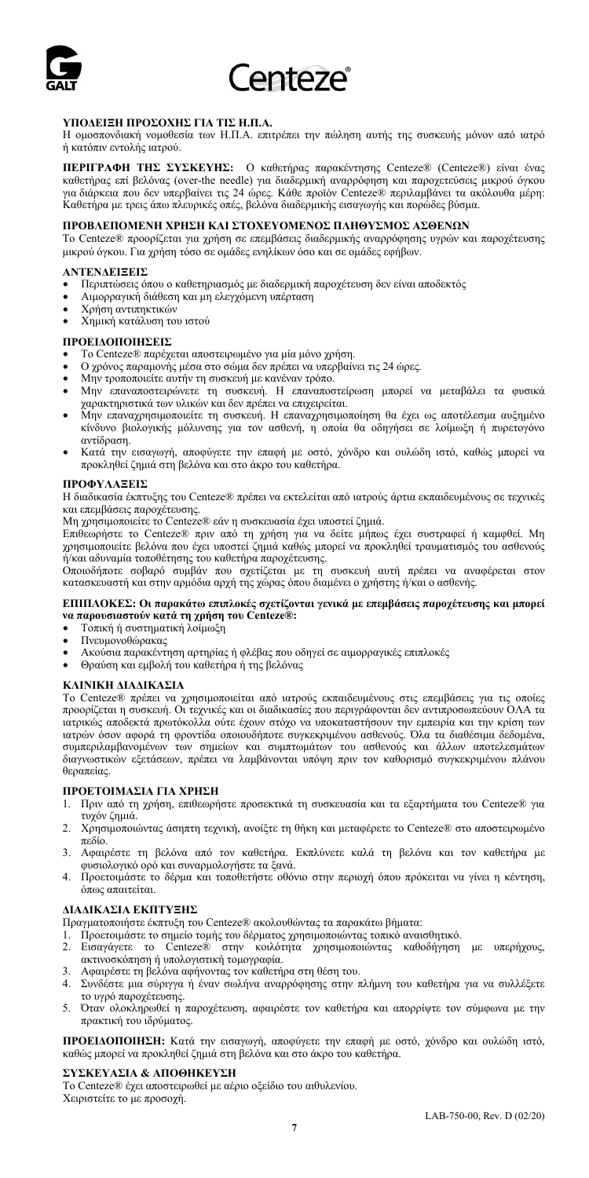

### **ΥΠΟΔΕΙΞΗ ΠΡΟΣΟΧΗΣ ΓΙΑ ΤΙΣ Η.Π.Α.**

Η ομοσπονδιακή νομοθεσία των Η.Π.Α. επιτρέπει την πώληση αυτής της συσκευής μόνον από ιατρό ή κατόπιν εντολής ιατρού.

**ΠΕΡΙΓΡΑΦΗ ΤΗΣ ΣΥΣΚΕΥΗΣ:** Ο καθετήρας παρακέντησης Centeze® (Centeze®) είναι ένας καθετήρας επί βελόνας (over-the needle) για διαδερμική αναρρόφηση και παροχετεύσεις μικρού όγκου για διάρκεια που δεν υπερβαίνει τις 24 ώρες. Κάθε προϊόν Centeze® περιλαμβάνει τα ακόλουθα μέρη: Καθετήρα με τρεις άπω πλευρικές οπές, βελόνα διαδερμικής εισαγωγής και πορώδες βύσμα.

#### **ΠΡΟΒΛΕΠΟΜΕΝΗ ΧΡΗΣΗ ΚΑΙ ΣΤΟΧΕΥΟΜΕΝΟΣ ΠΛΗΘΥΣΜΟΣ ΑΣΘΕΝΩΝ**

Το Centeze® προορίζεται για χρήση σε επεμβάσεις διαδερμικής αναρρόφησης υγρών και παροχέτευσης μικρού όγκου. Για χρήση τόσο σε ομάδες ενηλίκων όσο και σε ομάδες εφήβων.

#### **ΑΝΤΕΝΔΕΙΞΕΙΣ**

- Περιπτώσεις όπου ο καθετηριασμός με διαδερμική παροχέτευση δεν είναι αποδεκτός
- Αιμορραγική διάθεση και μη ελεγχόμενη υπέρταση
- Χρήση αντιπηκτικών
- Χημική κατάλυση του ιστού

#### **ΠΡΟΕΙΔΟΠΟΙΗΣΕΙΣ**

- Το Centeze® παρέχεται αποστειρωμένο για μία μόνο χρήση.
- Ο χρόνος παραμονής μέσα στο σώμα δεν πρέπει να υπερβαίνει τις 24 ώρες.
- Μην τροποποιείτε αυτήν τη συσκευή με κανέναν τρόπο.
- Μην επαναποστειρώνετε τη συσκευή. Η επαναποστείρωση μπορεί να μεταβάλει τα φυσικά χαρακτηριστικά των υλικών και δεν πρέπει να επιχειρείται.
- Μην επαναχρησιμοποιείτε τη συσκευή. Η επαναχρησιμοποίηση θα έχει ως αποτέλεσμα αυξημένο κίνδυνο βιολογικής μόλυνσης για τον ασθενή, η οποία θα οδηγήσει σε λοίμωξη ή πυρετογόνο αντίδραση.
- Κατά την εισαγωγή, αποφύγετε την επαφή με οστό, χόνδρο και ουλώδη ιστό, καθώς μπορεί να προκληθεί ζημιά στη βελόνα και στο άκρο του καθετήρα.

## **ΠΡΟΦΥΛΑΞΕΙΣ**

Η διαδικασία έκπτυξης του Centeze® πρέπει να εκτελείται από ιατρούς άρτια εκπαιδευμένους σε τεχνικές και επεμβάσεις παροχέτευσης.

Μη χρησιμοποιείτε το Centeze® εάν η συσκευασία έχει υποστεί ζημιά.

Επιθεωρήστε το Centeze® πριν από τη χρήση για να δείτε μήπως έχει συστραφεί ή καμφθεί. Μη χρησιμοποιείτε βελόνα που έχει υποστεί ζημιά καθώς μπορεί να προκληθεί τραυματισμός του ασθενούς ή/και αδυναμία τοποθέτησης του καθετήρα παροχέτευσης.

Οποιοδήποτε σοβαρό συμβάν που σχετίζεται με τη συσκευή αυτή πρέπει να αναφέρεται στον κατασκευαστή και στην αρμόδια αρχή της χώρας όπου διαμένει ο χρήστης ή/και ο ασθενής.

#### **ΕΠΙΠΛΟΚΕΣ: Οι παρακάτω επιπλοκές σχετίζονται γενικά με επεμβάσεις παροχέτευσης και μπορεί να παρουσιαστούν κατά τη χρήση του Centeze®:**

- Τοπική ή συστηματική λοίμωξη
- Πνευμονοθώρακας
- Ακούσια παρακέντηση αρτηρίας ή φλέβας που οδηγεί σε αιμορραγικές επιπλοκές
- Θραύση και εμβολή του καθετήρα ή της βελόνας

#### **ΚΛΙΝΙΚΗ ΔΙΑΔΙΚΑΣΙΑ**

Το Centeze® πρέπει να χρησιμοποιείται από ιατρούς εκπαιδευμένους στις επεμβάσεις για τις οποίες προορίζεται η συσκευή. Οι τεχνικές και οι διαδικασίες που περιγράφονται δεν αντιπροσωπεύουν ΟΛΑ τα ιατρικώς αποδεκτά πρωτόκολλα ούτε έχουν στόχο να υποκαταστήσουν την εμπειρία και την κρίση των ιατρών όσον αφορά τη φροντίδα οποιουδήποτε συγκεκριμένου ασθενούς. Όλα τα διαθέσιμα δεδομένα, συμπεριλαμβανομένων των σημείων και συμπτωμάτων του ασθενούς και άλλων αποτελεσμάτων διαγνωστικών εξετάσεων, πρέπει να λαμβάνονται υπόψη πριν τον καθορισμό συγκεκριμένου πλάνου θεραπείας.

#### **ΠΡΟΕΤΟΙΜΑΣΙΑ ΓΙΑ ΧΡΗΣΗ**

- 1. Πριν από τη χρήση, επιθεωρήστε προσεκτικά τη συσκευασία και τα εξαρτήματα του Centeze® για τυχόν ζημιά.
- 2. Χρησιμοποιώντας άσηπτη τεχνική, ανοίξτε τη θήκη και μεταφέρετε το Centeze® στο αποστειρωμένο πεδίο.
- 3. Αφαιρέστε τη βελόνα από τον καθετήρα. Εκπλύνετε καλά τη βελόνα και τον καθετήρα με φυσιολογικό ορό και συναρμολογήστε τα ξανά.
- 4. Προετοιμάστε το δέρμα και τοποθετήστε οθόνιο στην περιοχή όπου πρόκειται να γίνει η κέντηση, όπως απαιτείται.

#### **ΔΙΑΔΙΚΑΣΙΑ ΕΚΠΤΥΞΗΣ**

- Πραγματοποιήστε έκπτυξη του Centeze® ακολουθώντας τα παρακάτω βήματα:
- 
- 1. Προετοιμάστε το σημείο τομής του δέρματος χρησιμοποιώντας τοπικό αναισθητικό. 2. Εισαγάγετε το Centeze® στην κοιλότητα χρησιμοποιώντας καθοδήγηση με υπερήχους, ακτινοσκόπηση ή υπολογιστική τομογραφία.
- 3. Αφαιρέστε τη βελόνα αφήνοντας τον καθετήρα στη θέση του.
- 4. Συνδέστε μια σύριγγα ή έναν σωλήνα αναρρόφησης στην πλήμνη του καθετήρα για να συλλέξετε το υγρό παροχέτευσης.
- 5. Όταν ολοκληρωθεί η παροχέτευση, αφαιρέστε τον καθετήρα και απορρίψτε τον σύμφωνα με την πρακτική του ιδρύματος.

**ΠΡΟΕΙΔΟΠΟΙΗΣΗ:** Κατά την εισαγωγή, αποφύγετε την επαφή με οστό, χόνδρο και ουλώδη ιστό, καθώς μπορεί να προκληθεί ζημιά στη βελόνα και στο άκρο του καθετήρα.

## **ΣΥΣΚΕΥΑΣΙΑ & ΑΠΟΘΗΚΕΥΣΗ**

Το Centeze® έχει αποστειρωθεί με αέριο οξείδιο του αιθυλενίου. Χειριστείτε το με προσοχή.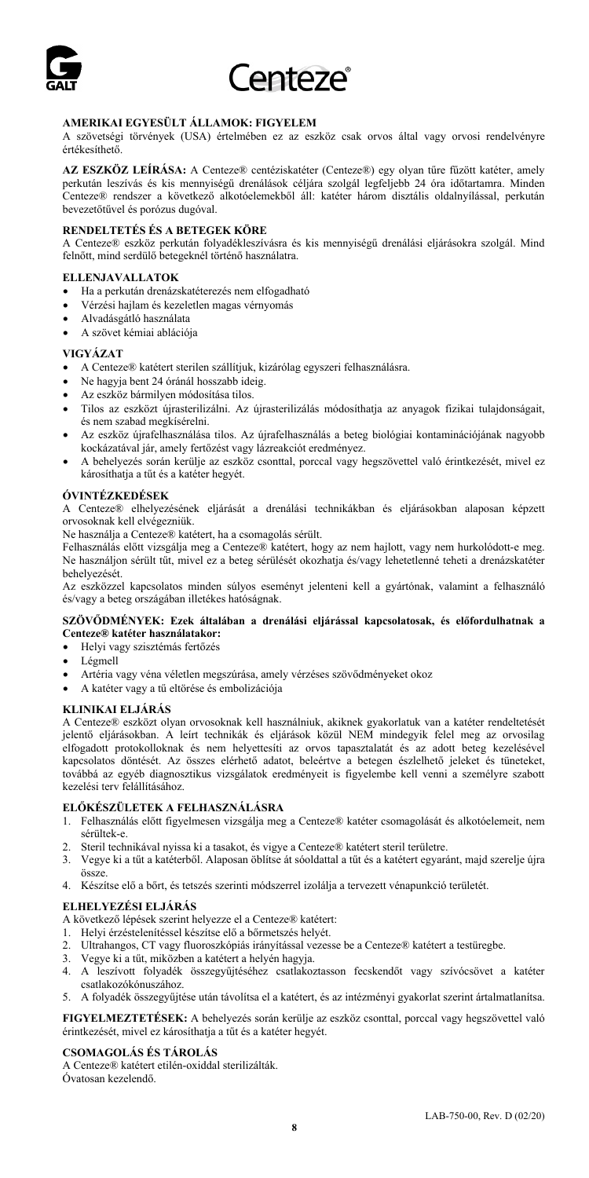

#### **AMERIKAI EGYESÜLT ÁLLAMOK: FIGYELEM**

A szövetségi törvények (USA) értelmében ez az eszköz csak orvos által vagy orvosi rendelvényre értékesíthető.

**AZ ESZKÖZ LEÍRÁSA:** A Centeze® centéziskatéter (Centeze®) egy olyan tűre fűzött katéter, amely perkután leszívás és kis mennyiségű drenálások céljára szolgál legfeljebb 24 óra időtartamra. Minden Centeze® rendszer a következő alkotóelemekből áll: katéter három disztális oldalnyílással, perkután bevezetőtűvel és porózus dugóval.

#### **RENDELTETÉS ÉS A BETEGEK KÖRE**

A Centeze® eszköz perkután folyadékleszívásra és kis mennyiségű drenálási eljárásokra szolgál. Mind felnőtt, mind serdülő betegeknél történő használatra.

#### **ELLENJAVALLATOK**

- Ha a perkután drenázskatéterezés nem elfogadható
- Vérzési hajlam és kezeletlen magas vérnyomás
- Alvadásgátló használata
- A szövet kémiai ablációja

### **VIGYÁZAT**

- A Centeze® katétert sterilen szállítjuk, kizárólag egyszeri felhasználásra.
- Ne hagyja bent 24 óránál hosszabb ideig.
- Az eszköz bármilyen módosítása tilos.
- Tilos az eszközt újrasterilizálni. Az újrasterilizálás módosíthatja az anyagok fizikai tulajdonságait, és nem szabad megkísérelni.
- Az eszköz újrafelhasználása tilos. Az újrafelhasználás a beteg biológiai kontaminációjának nagyobb kockázatával jár, amely fertőzést vagy lázreakciót eredményez.
- A behelyezés során kerülje az eszköz csonttal, porccal vagy hegszövettel való érintkezését, mivel ez károsíthatja a tűt és a katéter hegyét.

### **ÓVINTÉZKEDÉSEK**

A Centeze® elhelyezésének eljárását a drenálási technikákban és eljárásokban alaposan képzett orvosoknak kell elvégezniük.

Ne használja a Centeze® katétert, ha a csomagolás sérült.

Felhasználás előtt vizsgálja meg a Centeze® katétert, hogy az nem hajlott, vagy nem hurkolódott-e meg. Ne használjon sérült tűt, mivel ez a beteg sérülését okozhatja és/vagy lehetetlenné teheti a drenázskatéter behelyezését.

Az eszközzel kapcsolatos minden súlyos eseményt jelenteni kell a gyártónak, valamint a felhasználó és/vagy a beteg országában illetékes hatóságnak.

#### **SZÖVŐDMÉNYEK: Ezek általában a drenálási eljárással kapcsolatosak, és előfordulhatnak a Centeze® katéter használatakor:**

- Helyi vagy szisztémás fertőzés
- Légmell
- Artéria vagy véna véletlen megszúrása, amely vérzéses szövődményeket okoz
- A katéter vagy a tű eltörése és embolizációja

#### **KLINIKAI ELJÁRÁS**

A Centeze® eszközt olyan orvosoknak kell használniuk, akiknek gyakorlatuk van a katéter rendeltetését jelentő eljárásokban. A leírt technikák és eljárások közül NEM mindegyik felel meg az orvosilag elfogadott protokolloknak és nem helyettesíti az orvos tapasztalatát és az adott beteg kezelésével kapcsolatos döntését. Az összes elérhető adatot, beleértve a betegen észlelhető jeleket és tüneteket, továbbá az egyéb diagnosztikus vizsgálatok eredményeit is figyelembe kell venni a személyre szabott kezelési terv felállításához.

## **ELŐKÉSZÜLETEK A FELHASZNÁLÁSRA**

- 1. Felhasználás előtt figyelmesen vizsgálja meg a Centeze® katéter csomagolását és alkotóelemeit, nem sérültek-e.
- 2. Steril technikával nyissa ki a tasakot, és vigye a Centeze® katétert steril területre.
- 3. Vegye ki a tűt a katéterből. Alaposan öblítse át sóoldattal a tűt és a katétert egyaránt, majd szerelje újra össze.
- 4. Készítse elő a bőrt, és tetszés szerinti módszerrel izolálja a tervezett vénapunkció területét.

#### **ELHELYEZÉSI ELJÁRÁS**

- A következő lépések szerint helyezze el a Centeze® katétert:
- 1. Helyi érzéstelenítéssel készítse elő a bőrmetszés helyét.
- 2. Ultrahangos, CT vagy fluoroszkópiás irányítással vezesse be a Centeze® katétert a testüregbe.
- 3. Vegye ki a tűt, miközben a katétert a helyén hagyja.
- 4. A leszívott folyadék összegyűjtéséhez csatlakoztasson fecskendőt vagy szívócsövet a katéter csatlakozókónuszához.
- 5. A folyadék összegyűjtése után távolítsa el a katétert, és az intézményi gyakorlat szerint ártalmatlanítsa.

**FIGYELMEZTETÉSEK:** A behelyezés során kerülje az eszköz csonttal, porccal vagy hegszövettel való érintkezését, mivel ez károsíthatja a tűt és a katéter hegyét.

## **CSOMAGOLÁS ÉS TÁROLÁS**

A Centeze® katétert etilén-oxiddal sterilizálták. Óvatosan kezelendő.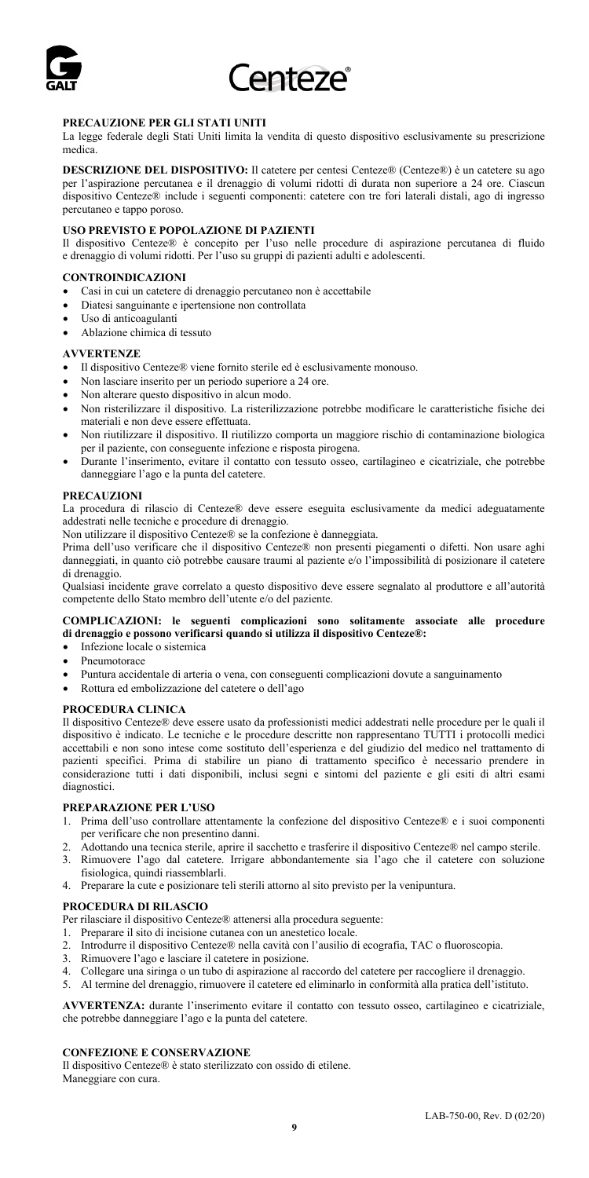

## **PRECAUZIONE PER GLI STATI UNITI**

La legge federale degli Stati Uniti limita la vendita di questo dispositivo esclusivamente su prescrizione medica.

**DESCRIZIONE DEL DISPOSITIVO:** Il catetere per centesi Centeze® (Centeze®) è un catetere su ago per l'aspirazione percutanea e il drenaggio di volumi ridotti di durata non superiore a 24 ore. Ciascun dispositivo Centeze® include i seguenti componenti: catetere con tre fori laterali distali, ago di ingresso percutaneo e tappo poroso.

#### **USO PREVISTO E POPOLAZIONE DI PAZIENTI**

Il dispositivo Centeze® è concepito per l'uso nelle procedure di aspirazione percutanea di fluido e drenaggio di volumi ridotti. Per l'uso su gruppi di pazienti adulti e adolescenti.

#### **CONTROINDICAZIONI**

- Casi in cui un catetere di drenaggio percutaneo non è accettabile
- Diatesi sanguinante e ipertensione non controllata
- Uso di anticoagulanti
- Ablazione chimica di tessuto

#### **AVVERTENZE**

- Il dispositivo Centeze® viene fornito sterile ed è esclusivamente monouso.
- Non lasciare inserito per un periodo superiore a 24 ore.
- Non alterare questo dispositivo in alcun modo.
- Non risterilizzare il dispositivo. La risterilizzazione potrebbe modificare le caratteristiche fisiche dei materiali e non deve essere effettuata.
- Non riutilizzare il dispositivo. Il riutilizzo comporta un maggiore rischio di contaminazione biologica per il paziente, con conseguente infezione e risposta pirogena.
- Durante l'inserimento, evitare il contatto con tessuto osseo, cartilagineo e cicatriziale, che potrebbe danneggiare l'ago e la punta del catetere.

#### **PRECAUZIONI**

La procedura di rilascio di Centeze® deve essere eseguita esclusivamente da medici adeguatamente addestrati nelle tecniche e procedure di drenaggio.

Non utilizzare il dispositivo Centeze® se la confezione è danneggiata.

Prima dell'uso verificare che il dispositivo Centeze® non presenti piegamenti o difetti. Non usare aghi danneggiati, in quanto ciò potrebbe causare traumi al paziente e/o l'impossibilità di posizionare il catetere di drenaggio.

Qualsiasi incidente grave correlato a questo dispositivo deve essere segnalato al produttore e all'autorità competente dello Stato membro dell'utente e/o del paziente.

#### **COMPLICAZIONI: le seguenti complicazioni sono solitamente associate alle procedure di drenaggio e possono verificarsi quando si utilizza il dispositivo Centeze®:**

- Infezione locale o sistemica
- Pneumotorace
- Puntura accidentale di arteria o vena, con conseguenti complicazioni dovute a sanguinamento
- Rottura ed embolizzazione del catetere o dell'ago

#### **PROCEDURA CLINICA**

Il dispositivo Centeze® deve essere usato da professionisti medici addestrati nelle procedure per le quali il dispositivo è indicato. Le tecniche e le procedure descritte non rappresentano TUTTI i protocolli medici accettabili e non sono intese come sostituto dell'esperienza e del giudizio del medico nel trattamento di pazienti specifici. Prima di stabilire un piano di trattamento specifico è necessario prendere in considerazione tutti i dati disponibili, inclusi segni e sintomi del paziente e gli esiti di altri esami diagnostici.

#### **PREPARAZIONE PER L'USO**

- 1. Prima dell'uso controllare attentamente la confezione del dispositivo Centeze® e i suoi componenti per verificare che non presentino danni.
- 2. Adottando una tecnica sterile, aprire il sacchetto e trasferire il dispositivo Centeze® nel campo sterile.
- 3. Rimuovere l'ago dal catetere. Irrigare abbondantemente sia l'ago che il catetere con soluzione fisiologica, quindi riassemblarli.
- 4. Preparare la cute e posizionare teli sterili attorno al sito previsto per la venipuntura.

#### **PROCEDURA DI RILASCIO**

Per rilasciare il dispositivo Centeze® attenersi alla procedura seguente:

- 1. Preparare il sito di incisione cutanea con un anestetico locale.
- 2. Introdurre il dispositivo Centeze® nella cavità con l'ausilio di ecografia, TAC o fluoroscopia.
- Rimuovere l'ago e lasciare il catetere in posizione.
- 4. Collegare una siringa o un tubo di aspirazione al raccordo del catetere per raccogliere il drenaggio.
- 5. Al termine del drenaggio, rimuovere il catetere ed eliminarlo in conformità alla pratica dell'istituto.

**AVVERTENZA:** durante l'inserimento evitare il contatto con tessuto osseo, cartilagineo e cicatriziale, che potrebbe danneggiare l'ago e la punta del catetere.

## **CONFEZIONE E CONSERVAZIONE**

Il dispositivo Centeze® è stato sterilizzato con ossido di etilene. Maneggiare con cura.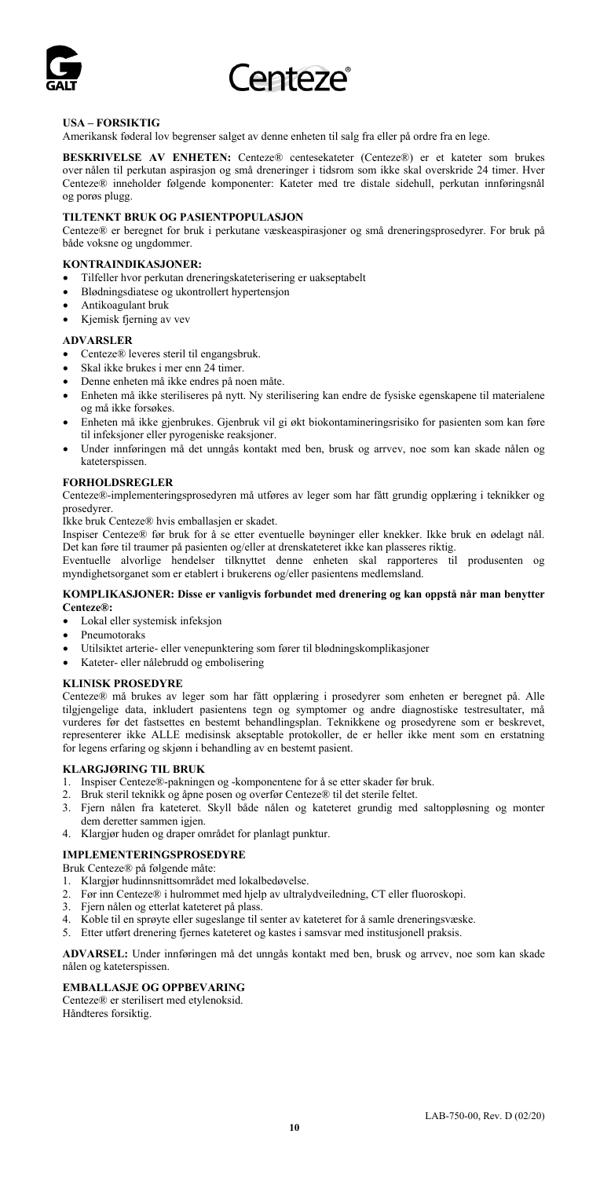

## **USA – FORSIKTIG**

Amerikansk føderal lov begrenser salget av denne enheten til salg fra eller på ordre fra en lege.

**BESKRIVELSE AV ENHETEN:** Centeze® centesekateter (Centeze®) er et kateter som brukes over nålen til perkutan aspirasjon og små dreneringer i tidsrom som ikke skal overskride 24 timer. Hver Centeze® inneholder følgende komponenter: Kateter med tre distale sidehull, perkutan innføringsnål og porøs plugg.

## **TILTENKT BRUK OG PASIENTPOPULASJON**

Centeze® er beregnet for bruk i perkutane væskeaspirasjoner og små dreneringsprosedyrer. For bruk på både voksne og ungdommer.

## **KONTRAINDIKASJONER:**

- Tilfeller hvor perkutan dreneringskateterisering er uakseptabelt
- Blødningsdiatese og ukontrollert hypertensjon
- Antikoagulant bruk
- Kjemisk fjerning av vev

#### **ADVARSLER**

- Centeze® leveres steril til engangsbruk.
- Skal ikke brukes i mer enn 24 timer.
- Denne enheten må ikke endres på noen måte.
- Enheten må ikke steriliseres på nytt. Ny sterilisering kan endre de fysiske egenskapene til materialene og må ikke forsøkes.
- Enheten må ikke gjenbrukes. Gjenbruk vil gi økt biokontamineringsrisiko for pasienten som kan føre til infeksjoner eller pyrogeniske reaksjoner.
- Under innføringen må det unngås kontakt med ben, brusk og arrvev, noe som kan skade nålen og kateterspissen.

#### **FORHOLDSREGLER**

Centeze®-implementeringsprosedyren må utføres av leger som har fått grundig opplæring i teknikker og prosedyrer.

Ikke bruk Centeze® hvis emballasjen er skadet.

Inspiser Centeze® før bruk for å se etter eventuelle bøyninger eller knekker. Ikke bruk en ødelagt nål. Det kan føre til traumer på pasienten og/eller at drenskateteret ikke kan plasseres riktig.

Eventuelle alvorlige hendelser tilknyttet denne enheten skal rapporteres til produsenten og myndighetsorganet som er etablert i brukerens og/eller pasientens medlemsland.

### **KOMPLIKASJONER: Disse er vanligvis forbundet med drenering og kan oppstå når man benytter Centeze®:**

- Lokal eller systemisk infeksjon
- Pneumotoraks
- Utilsiktet arterie- eller venepunktering som fører til blødningskomplikasjoner
- Kateter- eller nålebrudd og embolisering

#### **KLINISK PROSEDYRE**

Centeze® må brukes av leger som har fått opplæring i prosedyrer som enheten er beregnet på. Alle tilgjengelige data, inkludert pasientens tegn og symptomer og andre diagnostiske testresultater, må vurderes før det fastsettes en bestemt behandlingsplan. Teknikkene og prosedyrene som er beskrevet, representerer ikke ALLE medisinsk akseptable protokoller, de er heller ikke ment som en erstatning for legens erfaring og skjønn i behandling av en bestemt pasient.

#### **KLARGJØRING TIL BRUK**

- 1. Inspiser Centeze®-pakningen og -komponentene for å se etter skader før bruk.
- 2. Bruk steril teknikk og åpne posen og overfør Centeze® til det sterile feltet.
- 3. Fjern nålen fra kateteret. Skyll både nålen og kateteret grundig med saltoppløsning og monter dem deretter sammen igjen.
- 4. Klargjør huden og draper området for planlagt punktur.

## **IMPLEMENTERINGSPROSEDYRE**

#### Bruk Centeze® på følgende måte:

- 1. Klargjør hudinnsnittsområdet med lokalbedøvelse.
- 2. Før inn Centeze® i hulrommet med hjelp av ultralydveiledning, CT eller fluoroskopi.
- 3. Fjern nålen og etterlat kateteret på plass.
- 4. Koble til en sprøyte eller sugeslange til senter av kateteret for å samle dreneringsvæske.
- Etter utført drenering fjernes kateteret og kastes i samsvar med institusjonell praksis.

**ADVARSEL:** Under innføringen må det unngås kontakt med ben, brusk og arrvev, noe som kan skade nålen og kateterspissen.

### **EMBALLASJE OG OPPBEVARING**

Centeze® er sterilisert med etylenoksid. Håndteres forsiktig.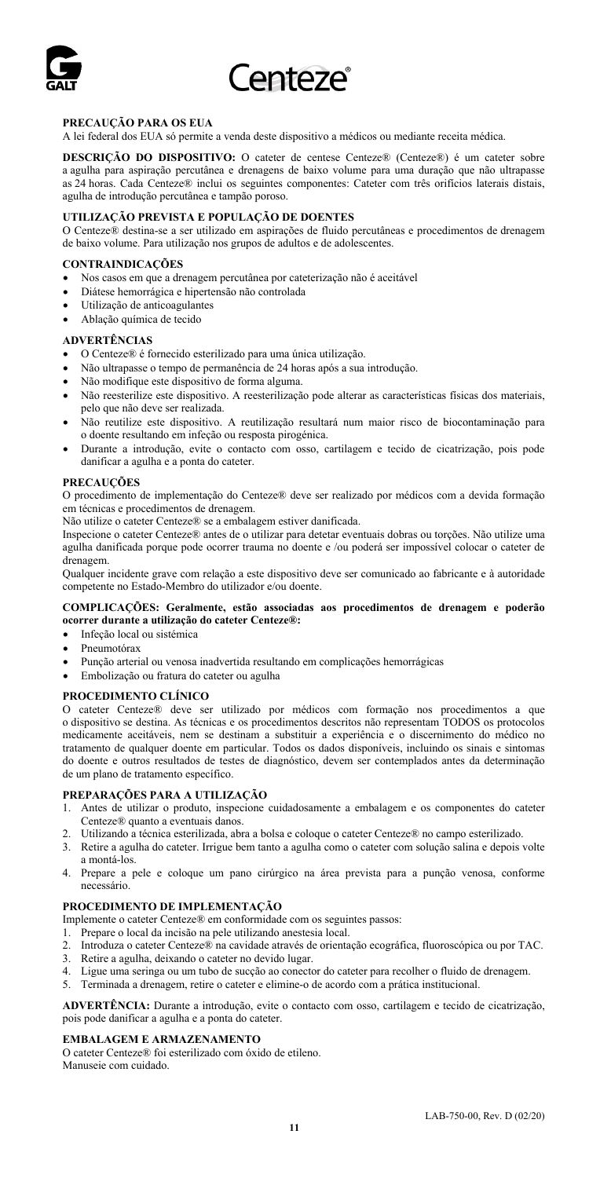

## **PRECAUÇÃO PARA OS EUA**

A lei federal dos EUA só permite a venda deste dispositivo a médicos ou mediante receita médica.

**DESCRIÇÃO DO DISPOSITIVO:** O cateter de centese Centeze® (Centeze®) é um cateter sobre a agulha para aspiração percutânea e drenagens de baixo volume para uma duração que não ultrapasse as 24 horas. Cada Centeze® inclui os seguintes componentes: Cateter com três orifícios laterais distais, agulha de introdução percutânea e tampão poroso.

### **UTILIZAÇÃO PREVISTA E POPULAÇÃO DE DOENTES**

O Centeze® destina-se a ser utilizado em aspirações de fluido percutâneas e procedimentos de drenagem de baixo volume. Para utilização nos grupos de adultos e de adolescentes.

## **CONTRAINDICAÇÕES**

- Nos casos em que a drenagem percutânea por cateterização não é aceitável
- Diátese hemorrágica e hipertensão não controlada
- Utilização de anticoagulantes
- Ablação química de tecido

#### **ADVERTÊNCIAS**

- O Centeze® é fornecido esterilizado para uma única utilização.
- Não ultrapasse o tempo de permanência de 24 horas após a sua introdução.
- Não modifique este dispositivo de forma alguma.
- Não reesterilize este dispositivo. A reesterilização pode alterar as características físicas dos materiais, pelo que não deve ser realizada.
- Não reutilize este dispositivo. A reutilização resultará num maior risco de biocontaminação para o doente resultando em infeção ou resposta pirogénica.
- Durante a introdução, evite o contacto com osso, cartilagem e tecido de cicatrização, pois pode danificar a agulha e a ponta do cateter.

#### **PRECAUÇÕES**

O procedimento de implementação do Centeze® deve ser realizado por médicos com a devida formação em técnicas e procedimentos de drenagem.

Não utilize o cateter Centeze® se a embalagem estiver danificada.

Inspecione o cateter Centeze® antes de o utilizar para detetar eventuais dobras ou torções. Não utilize uma agulha danificada porque pode ocorrer trauma no doente e /ou poderá ser impossível colocar o cateter de drenagem.

Qualquer incidente grave com relação a este dispositivo deve ser comunicado ao fabricante e à autoridade competente no Estado-Membro do utilizador e/ou doente.

### **COMPLICAÇÕES: Geralmente, estão associadas aos procedimentos de drenagem e poderão ocorrer durante a utilização do cateter Centeze®:**

- Infeção local ou sistémica
- Pneumotórax
- Punção arterial ou venosa inadvertida resultando em complicações hemorrágicas
- Embolização ou fratura do cateter ou agulha

#### **PROCEDIMENTO CLÍNICO**

O cateter Centeze® deve ser utilizado por médicos com formação nos procedimentos a que o dispositivo se destina. As técnicas e os procedimentos descritos não representam TODOS os protocolos medicamente aceitáveis, nem se destinam a substituir a experiência e o discernimento do médico no tratamento de qualquer doente em particular. Todos os dados disponíveis, incluindo os sinais e sintomas do doente e outros resultados de testes de diagnóstico, devem ser contemplados antes da determinação de um plano de tratamento específico.

#### **PREPARAÇÕES PARA A UTILIZAÇÃO**

- 1. Antes de utilizar o produto, inspecione cuidadosamente a embalagem e os componentes do cateter Centeze® quanto a eventuais danos.
- 2. Utilizando a técnica esterilizada, abra a bolsa e coloque o cateter Centeze® no campo esterilizado.
- 3. Retire a agulha do cateter. Irrigue bem tanto a agulha como o cateter com solução salina e depois volte
- a montá-los. 4. Prepare a pele e coloque um pano cirúrgico na área prevista para a punção venosa, conforme necessário.

#### **PROCEDIMENTO DE IMPLEMENTAÇÃO**

- Implemente o cateter Centeze® em conformidade com os seguintes passos:
- 1. Prepare o local da incisão na pele utilizando anestesia local.
- 2. Introduza o cateter Centeze® na cavidade através de orientação ecográfica, fluoroscópica ou por TAC.
- Retire a agulha, deixando o cateter no devido lugar.
- 4. Ligue uma seringa ou um tubo de sucção ao conector do cateter para recolher o fluido de drenagem.
- 5. Terminada a drenagem, retire o cateter e elimine-o de acordo com a prática institucional.

**ADVERTÊNCIA:** Durante a introdução, evite o contacto com osso, cartilagem e tecido de cicatrização, pois pode danificar a agulha e a ponta do cateter.

#### **EMBALAGEM E ARMAZENAMENTO**

O cateter Centeze® foi esterilizado com óxido de etileno. Manuseie com cuidado.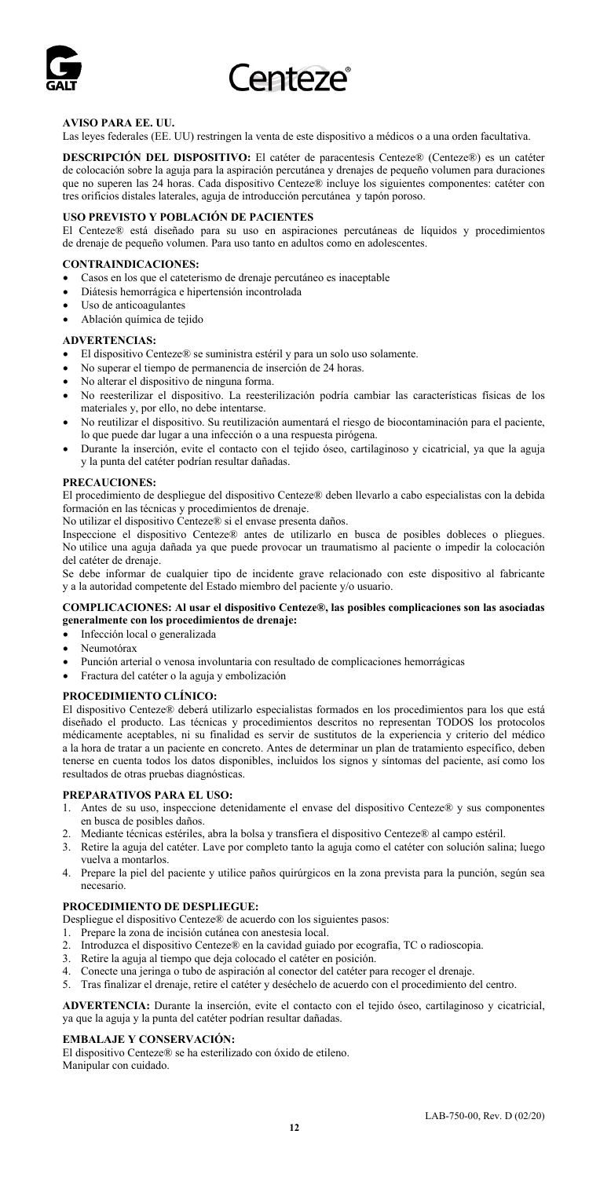

## **AVISO PARA EE. UU.**

Las leyes federales (EE. UU) restringen la venta de este dispositivo a médicos o a una orden facultativa.

**DESCRIPCIÓN DEL DISPOSITIVO:** El catéter de paracentesis Centeze® (Centeze®) es un catéter de colocación sobre la aguja para la aspiración percutánea y drenajes de pequeño volumen para duraciones que no superen las 24 horas. Cada dispositivo Centeze® incluye los siguientes componentes: catéter con tres orificios distales laterales, aguja de introducción percutánea y tapón poroso.

## **USO PREVISTO Y POBLACIÓN DE PACIENTES**

El Centeze® está diseñado para su uso en aspiraciones percutáneas de líquidos y procedimientos de drenaje de pequeño volumen. Para uso tanto en adultos como en adolescentes.

### **CONTRAINDICACIONES:**

- Casos en los que el cateterismo de drenaje percutáneo es inaceptable
- Diátesis hemorrágica e hipertensión incontrolada
- Uso de anticoagulantes
- Ablación química de tejido

#### **ADVERTENCIAS:**

- El dispositivo Centeze® se suministra estéril y para un solo uso solamente.
- No superar el tiempo de permanencia de inserción de 24 horas.
- No alterar el dispositivo de ninguna forma.
- No reesterilizar el dispositivo. La reesterilización podría cambiar las características físicas de los materiales y, por ello, no debe intentarse.
- No reutilizar el dispositivo. Su reutilización aumentará el riesgo de biocontaminación para el paciente, lo que puede dar lugar a una infección o a una respuesta pirógena.
- Durante la inserción, evite el contacto con el tejido óseo, cartilaginoso y cicatricial, ya que la aguja y la punta del catéter podrían resultar dañadas.

#### **PRECAUCIONES:**

El procedimiento de despliegue del dispositivo Centeze® deben llevarlo a cabo especialistas con la debida formación en las técnicas y procedimientos de drenaje.

No utilizar el dispositivo Centeze® si el envase presenta daños.

Inspeccione el dispositivo Centeze® antes de utilizarlo en busca de posibles dobleces o pliegues. No utilice una aguja dañada ya que puede provocar un traumatismo al paciente o impedir la colocación del catéter de drenaje.

Se debe informar de cualquier tipo de incidente grave relacionado con este dispositivo al fabricante y a la autoridad competente del Estado miembro del paciente y/o usuario.

#### **COMPLICACIONES: Al usar el dispositivo Centeze®, las posibles complicaciones son las asociadas generalmente con los procedimientos de drenaje:**

## • Infección local o generalizada

- Neumotórax
- Punción arterial o venosa involuntaria con resultado de complicaciones hemorrágicas
- Fractura del catéter o la aguja y embolización

#### **PROCEDIMIENTO CLÍNICO:**

El dispositivo Centeze® deberá utilizarlo especialistas formados en los procedimientos para los que está diseñado el producto. Las técnicas y procedimientos descritos no representan TODOS los protocolos médicamente aceptables, ni su finalidad es servir de sustitutos de la experiencia y criterio del médico a la hora de tratar a un paciente en concreto. Antes de determinar un plan de tratamiento específico, deben tenerse en cuenta todos los datos disponibles, incluidos los signos y síntomas del paciente, así como los resultados de otras pruebas diagnósticas.

#### **PREPARATIVOS PARA EL USO:**

- 1. Antes de su uso, inspeccione detenidamente el envase del dispositivo Centeze® y sus componentes en busca de posibles daños.
- 2. Mediante técnicas estériles, abra la bolsa y transfiera el dispositivo Centeze® al campo estéril.
- 3. Retire la aguja del catéter. Lave por completo tanto la aguja como el catéter con solución salina; luego vuelva a montarlos.
- 4. Prepare la piel del paciente y utilice paños quirúrgicos en la zona prevista para la punción, según sea necesario.

### **PROCEDIMIENTO DE DESPLIEGUE:**

Despliegue el dispositivo Centeze® de acuerdo con los siguientes pasos:

- 1. Prepare la zona de incisión cutánea con anestesia local.
- 2. Introduzca el dispositivo Centeze® en la cavidad guiado por ecografía, TC o radioscopia.
- Retire la aguja al tiempo que deja colocado el catéter en posición
- 4. Conecte una jeringa o tubo de aspiración al conector del catéter para recoger el drenaje.
- 5. Tras finalizar el drenaje, retire el catéter y deséchelo de acuerdo con el procedimiento del centro.

**ADVERTENCIA:** Durante la inserción, evite el contacto con el tejido óseo, cartilaginoso y cicatricial, ya que la aguja y la punta del catéter podrían resultar dañadas.

## **EMBALAJE Y CONSERVACIÓN:**

El dispositivo Centeze® se ha esterilizado con óxido de etileno. Manipular con cuidado.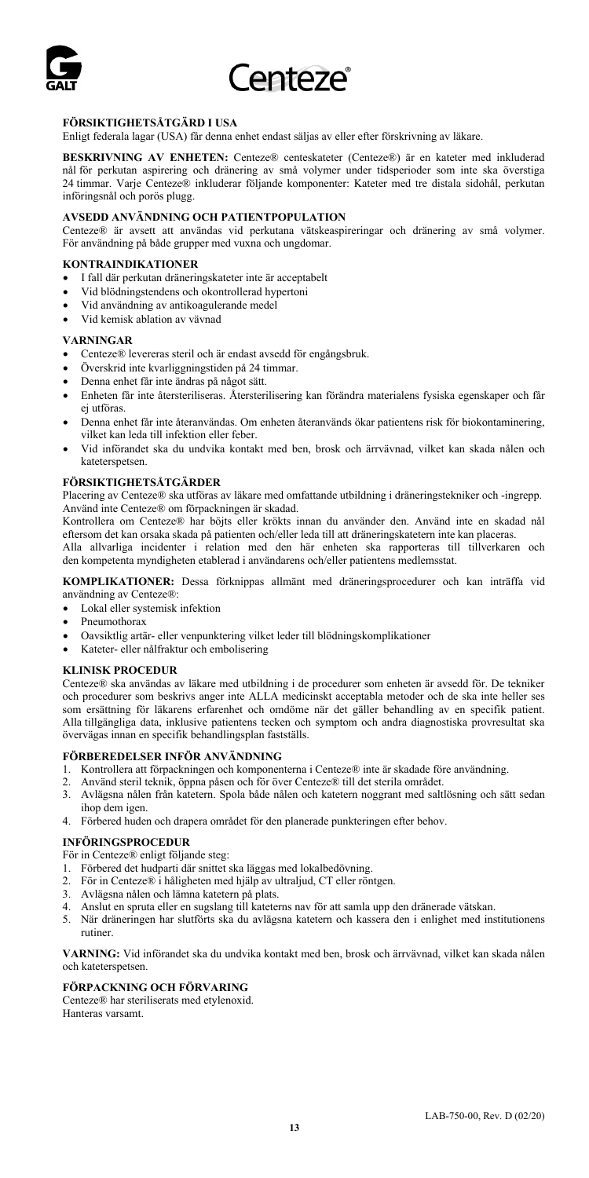

## **FÖRSIKTIGHETSÅTGÄRD I USA**

Enligt federala lagar (USA) får denna enhet endast säljas av eller efter förskrivning av läkare.

**BESKRIVNING AV ENHETEN:** Centeze® centeskateter (Centeze®) är en kateter med inkluderad nål för perkutan aspirering och dränering av små volymer under tidsperioder som inte ska överstiga 24 timmar. Varje Centeze® inkluderar följande komponenter: Kateter med tre distala sidohål, perkutan införingsnål och porös plugg.

### **AVSEDD ANVÄNDNING OCH PATIENTPOPULATION**

Centeze® är avsett att användas vid perkutana vätskeaspireringar och dränering av små volymer. För användning på både grupper med vuxna och ungdomar.

## **KONTRAINDIKATIONER**

- I fall där perkutan dräneringskateter inte är acceptabelt
- Vid blödningstendens och okontrollerad hypertoni
- Vid användning av antikoagulerande medel
- Vid kemisk ablation av vävnad

#### **VARNINGAR**

- Centeze® levereras steril och är endast avsedd för engångsbruk.
- Överskrid inte kvarliggningstiden på 24 timmar.
- Denna enhet får inte ändras på något sätt.
- Enheten får inte återsteriliseras. Återsterilisering kan förändra materialens fysiska egenskaper och får ej utföras.
- Denna enhet får inte återanvändas. Om enheten återanvänds ökar patientens risk för biokontaminering, vilket kan leda till infektion eller feber.
- Vid införandet ska du undvika kontakt med ben, brosk och ärrvävnad, vilket kan skada nålen och kateterspetsen.

#### **FÖRSIKTIGHETSÅTGÄRDER**

Placering av Centeze® ska utföras av läkare med omfattande utbildning i dräneringstekniker och -ingrepp. Använd inte Centeze® om förpackningen är skadad.

Kontrollera om Centeze® har böjts eller krökts innan du använder den. Använd inte en skadad nål eftersom det kan orsaka skada på patienten och/eller leda till att dräneringskatetern inte kan placeras. Alla allvarliga incidenter i relation med den här enheten ska rapporteras till tillverkaren och

den kompetenta myndigheten etablerad i användarens och/eller patientens medlemsstat.

**KOMPLIKATIONER:** Dessa förknippas allmänt med dräneringsprocedurer och kan inträffa vid användning av Centeze®:

- Lokal eller systemisk infektion
- Pneumothorax
- Oavsiktlig artär- eller venpunktering vilket leder till blödningskomplikationer
- Kateter- eller nålfraktur och embolisering

### **KLINISK PROCEDUR**

Centeze® ska användas av läkare med utbildning i de procedurer som enheten är avsedd för. De tekniker och procedurer som beskrivs anger inte ALLA medicinskt acceptabla metoder och de ska inte heller ses som ersättning för läkarens erfarenhet och omdöme när det gäller behandling av en specifik patient. Alla tillgängliga data, inklusive patientens tecken och symptom och andra diagnostiska provresultat ska övervägas innan en specifik behandlingsplan fastställs.

#### **FÖRBEREDELSER INFÖR ANVÄNDNING**

- 1. Kontrollera att förpackningen och komponenterna i Centeze® inte är skadade före användning.
- 2. Använd steril teknik, öppna påsen och för över Centeze® till det sterila området.
- 3. Avlägsna nålen från katetern. Spola både nålen och katetern noggrant med saltlösning och sätt sedan ihop dem igen.
- 4. Förbered huden och drapera området för den planerade punkteringen efter behov.

#### **INFÖRINGSPROCEDUR**

- För in Centeze® enligt följande steg:
- 1. Förbered det hudparti där snittet ska läggas med lokalbedövning.
- 2. För in Centeze® i håligheten med hjälp av ultraljud, CT eller röntgen.
- 3. Avlägsna nålen och lämna katetern på plats.
- 4. Anslut en spruta eller en sugslang till kateterns nav för att samla upp den dränerade vätskan.
- 5. När dräneringen har slutförts ska du avlägsna katetern och kassera den i enlighet med institutionens rutiner.

**VARNING:** Vid införandet ska du undvika kontakt med ben, brosk och ärrvävnad, vilket kan skada nålen och kateterspetsen.

#### **FÖRPACKNING OCH FÖRVARING**

Centeze® har steriliserats med etylenoxid. Hanteras varsamt.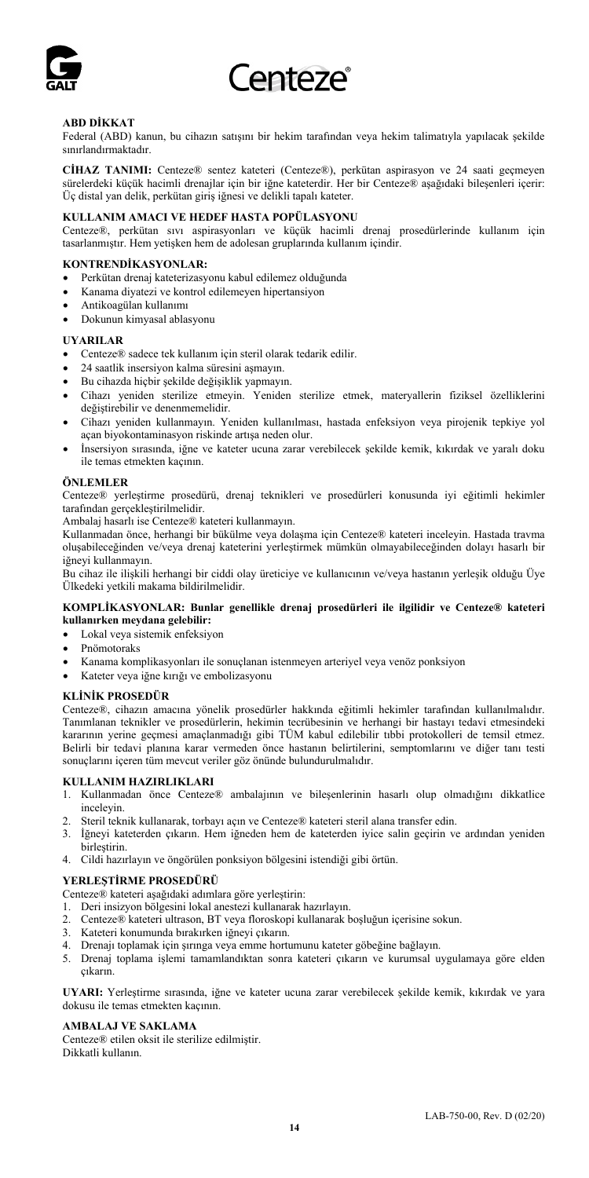

## **ABD DİKKAT**

Federal (ABD) kanun, bu cihazın satışını bir hekim tarafından veya hekim talimatıyla yapılacak şekilde sınırlandırmaktadır.

**CİHAZ TANIMI:** Centeze® sentez kateteri (Centeze®), perkütan aspirasyon ve 24 saati geçmeyen sürelerdeki küçük hacimli drenajlar için bir iğne kateterdir. Her bir Centeze® aşağıdaki bileşenleri içerir: Üç distal yan delik, perkütan giriş iğnesi ve delikli tapalı kateter.

## **KULLANIM AMACI VE HEDEF HASTA POPÜLASYONU**

Centeze®, perkütan sıvı aspirasyonları ve küçük hacimli drenaj prosedürlerinde kullanım için tasarlanmıştır. Hem yetişken hem de adolesan gruplarında kullanım içindir.

## **KONTRENDİKASYONLAR:**

- Perkütan drenaj kateterizasyonu kabul edilemez olduğunda
- Kanama diyatezi ve kontrol edilemeyen hipertansiyon
- Antikoagülan kullanımı
- Dokunun kimyasal ablasyonu

#### **UYARILAR**

- Centeze® sadece tek kullanım için steril olarak tedarik edilir.
- 24 saatlik insersiyon kalma süresini aşmayın.
- Bu cihazda hiçbir şekilde değişiklik yapmayın.
- Cihazı yeniden sterilize etmeyin. Yeniden sterilize etmek, materyallerin fiziksel özelliklerini değiştirebilir ve denenmemelidir.
- Cihazı yeniden kullanmayın. Yeniden kullanılması, hastada enfeksiyon veya pirojenik tepkiye yol açan biyokontaminasyon riskinde artışa neden olur.
- İnsersiyon sırasında, iğne ve kateter ucuna zarar verebilecek şekilde kemik, kıkırdak ve yaralı doku ile temas etmekten kaçının.

#### **ÖNLEMLER**

Centeze® yerleştirme prosedürü, drenaj teknikleri ve prosedürleri konusunda iyi eğitimli hekimler tarafından gerçekleştirilmelidir.

Ambalaj hasarlı ise Centeze® kateteri kullanmayın.

Kullanmadan önce, herhangi bir bükülme veya dolaşma için Centeze® kateteri inceleyin. Hastada travma oluşabileceğinden ve/veya drenaj kateterini yerleştirmek mümkün olmayabileceğinden dolayı hasarlı bir iğneyi kullanmayın.

Bu cihaz ile ilişkili herhangi bir ciddi olay üreticiye ve kullanıcının ve/veya hastanın yerleşik olduğu Üye Ülkedeki yetkili makama bildirilmelidir.

### **KOMPLİKASYONLAR: Bunlar genellikle drenaj prosedürleri ile ilgilidir ve Centeze® kateteri kullanırken meydana gelebilir:**

- Lokal veya sistemik enfeksiyon
- Pnömotoraks
- Kanama komplikasyonları ile sonuçlanan istenmeyen arteriyel veya venöz ponksiyon
- Kateter veya iğne kırığı ve embolizasyonu

#### **KLİNİK PROSEDÜR**

Centeze®, cihazın amacına yönelik prosedürler hakkında eğitimli hekimler tarafından kullanılmalıdır. Tanımlanan teknikler ve prosedürlerin, hekimin tecrübesinin ve herhangi bir hastayı tedavi etmesindeki kararının yerine geçmesi amaçlanmadığı gibi TÜM kabul edilebilir tıbbi protokolleri de temsil etmez. Belirli bir tedavi planına karar vermeden önce hastanın belirtilerini, semptomlarını ve diğer tanı testi sonuçlarını içeren tüm mevcut veriler göz önünde bulundurulmalıdır.

#### **KULLANIM HAZIRLIKLARI**

- 1. Kullanmadan önce Centeze® ambalajının ve bileşenlerinin hasarlı olup olmadığını dikkatlice inceleyin.
- 2. Steril teknik kullanarak, torbayı açın ve Centeze® kateteri steril alana transfer edin.
- 3. İğneyi kateterden çıkarın. Hem iğneden hem de kateterden iyice salin geçirin ve ardından yeniden birleştirin.
- 4. Cildi hazırlayın ve öngörülen ponksiyon bölgesini istendiği gibi örtün.

#### **YERLEŞTİRME PROSEDÜRÜ**

Centeze® kateteri aşağıdaki adımlara göre yerleştirin:

- 1. Deri insizyon bölgesini lokal anestezi kullanarak hazırlayın.
- 2. Centeze® kateteri ultrason, BT veya floroskopi kullanarak boşluğun içerisine sokun.
- 3. Kateteri konumunda bırakırken iğneyi çıkarın.
- 4. Drenajı toplamak için şırınga veya emme hortumunu kateter göbeğine bağlayın.
- 5. Drenaj toplama işlemi tamamlandıktan sonra kateteri çıkarın ve kurumsal uygulamaya göre elden çıkarın.

**UYARI:** Yerleştirme sırasında, iğne ve kateter ucuna zarar verebilecek şekilde kemik, kıkırdak ve yara dokusu ile temas etmekten kaçının.

## **AMBALAJ VE SAKLAMA**

Centeze® etilen oksit ile sterilize edilmiştir. Dikkatli kullanın.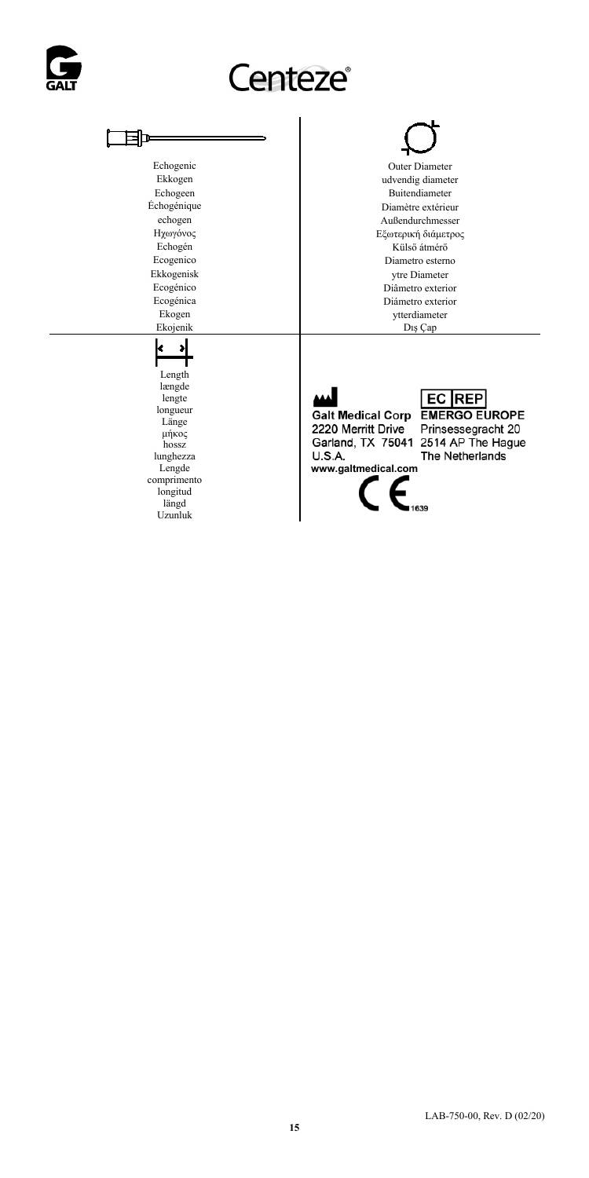

## Centeze®

## 国

## Echogenic Duter Diameter<br>Ekkogen der ausgeben der Stadt der Belagen der Stadt der Stadt der Stadt der Stadt der Stadt der Stadt der Stadt der Stadt der Stadt der Stadt der Stadt der Stadt der Stadt der Stadt der Stadt der Ekkogen udvendig diameter Echogeen Buitendiameter Echogenique Buitendiameter Echogenique Diamètre extérieu Chogénique Diamètre extérieur<br>
echogen<br>
Außendurchmesser<br>
Außendurchmesser echogen Außendurchmesser<br>
Ηχωγόνος Εξωτερική διάμετρο Ηχωγόνος Εξωτερική διάμετρος Εξωτερική διάμετρος Εξωτερική διάμετρος Ε Echogén Külső átmérő Ecogenico Musical Musical Ecogenico Musical Musical Economia Biannetro estern Ecogenico Diametro esterno Ekkogenisk ytre Diameter Ecogénico Diâmetro exterior Ecogénica Diámetro exterior Ekogen van de aanvan de verwaard van de verwaard.<br>Ekojenik Dis Cap van de Verwaard van de verwaard van de verwaard van de verwaard van de verwaard van de verwaa<br>Dis Cap van de verwaard van de verwaard van de verwaard van d Dış Çap

2220 Merritt Drive Prinsessegracht 20 **U.S.A.** 



# Galt Medical Corp EMERGO EUROPE

Garland, TX 75041 2514 AP The Hague The Netherlands

## Länge μήκος hossz lunghezza Lengde comprimento longitud

Length længde lengte longueur

×, k î

längd Uzunluk